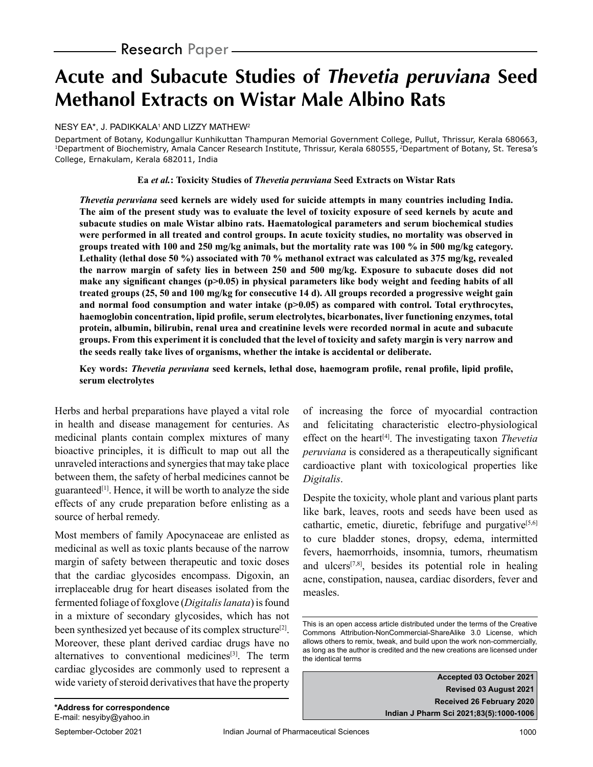# **Acute and Subacute Studies of Thevetia peruviana Seed Methanol Extracts on Wistar Male Albino Rats**

NESY EA\*, J. PADIKKALA' AND LIZZY MATHEW<del>?</del>

Department of Botany, Kodungallur Kunhikuttan Thampuran Memorial Government College, Pullut, Thrissur, Kerala 680663, <sup>1</sup>Department of Biochemistry, Amala Cancer Research Institute, Thrissur, Kerala 680555, <sup>2</sup>Department of Botany, St. Teresa's College, Ernakulam, Kerala 682011, India

#### **Ea** *et al.***: Toxicity Studies of** *Thevetia peruviana* **Seed Extracts on Wistar Rats**

*Thevetia peruviana* **seed kernels are widely used for suicide attempts in many countries including India. The aim of the present study was to evaluate the level of toxicity exposure of seed kernels by acute and subacute studies on male Wistar albino rats. Haematological parameters and serum biochemical studies were performed in all treated and control groups. In acute toxicity studies, no mortality was observed in groups treated with 100 and 250 mg/kg animals, but the mortality rate was 100 % in 500 mg/kg category. Lethality (lethal dose 50 %) associated with 70 % methanol extract was calculated as 375 mg/kg, revealed the narrow margin of safety lies in between 250 and 500 mg/kg. Exposure to subacute doses did not**  make any significant changes (p>0.05) in physical parameters like body weight and feeding habits of all **treated groups (25, 50 and 100 mg/kg for consecutive 14 d). All groups recorded a progressive weight gain**  and normal food consumption and water intake (p>0.05) as compared with control. Total erythrocytes, **haemoglobin concentration, lipid profile, serum electrolytes, bicarbonates, liver functioning enzymes, total protein, albumin, bilirubin, renal urea and creatinine levels were recorded normal in acute and subacute groups. From this experiment it is concluded that the level of toxicity and safety margin is very narrow and the seeds really take lives of organisms, whether the intake is accidental or deliberate.**

#### **Key words:** *Thevetia peruviana* **seed kernels, lethal dose, haemogram profile, renal profile, lipid profile, serum electrolytes**

Herbs and herbal preparations have played a vital role in health and disease management for centuries. As medicinal plants contain complex mixtures of many bioactive principles, it is difficult to map out all the unraveled interactions and synergies that may take place between them, the safety of herbal medicines cannot be guaranteed $[1]$ . Hence, it will be worth to analyze the side effects of any crude preparation before enlisting as a source of herbal remedy.

Most members of family Apocynaceae are enlisted as medicinal as well as toxic plants because of the narrow margin of safety between therapeutic and toxic doses that the cardiac glycosides encompass. Digoxin, an irreplaceable drug for heart diseases isolated from the fermented foliage of foxglove (*Digitalis lanata*) is found in a mixture of secondary glycosides, which has not been synthesized yet because of its complex structure<sup>[2]</sup>. Moreover, these plant derived cardiac drugs have no alternatives to conventional medicines<sup>[3]</sup>. The term cardiac glycosides are commonly used to represent a wide variety of steroid derivatives that have the property of increasing the force of myocardial contraction and felicitating characteristic electro-physiological effect on the heart[4]. The investigating taxon *Thevetia peruviana* is considered as a therapeutically significant cardioactive plant with toxicological properties like *Digitalis*.

Despite the toxicity, whole plant and various plant parts like bark, leaves, roots and seeds have been used as cathartic, emetic, diuretic, febrifuge and purgative $[5,6]$ to cure bladder stones, dropsy, edema, intermitted fevers, haemorrhoids, insomnia, tumors, rheumatism and ulcers $[7,8]$ , besides its potential role in healing acne, constipation, nausea, cardiac disorders, fever and measles.

**Accepted 03 October 2021 Revised 03 August 2021 Received 26 February 2020 Indian J Pharm Sci 2021;83(5):1000-1006**

This is an open access article distributed under the terms of the Creative Commons Attribution-NonCommercial-ShareAlike 3.0 License, which allows others to remix, tweak, and build upon the work non-commercially, as long as the author is credited and the new creations are licensed under the identical terms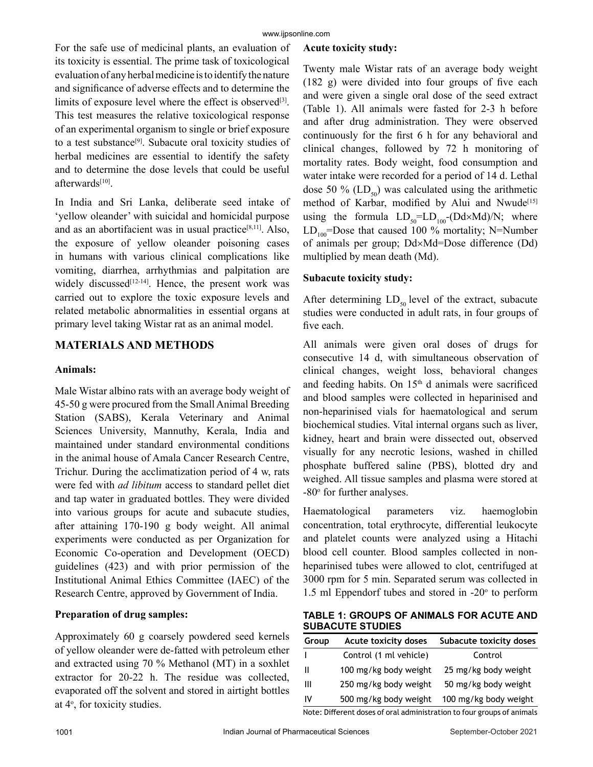For the safe use of medicinal plants, an evaluation of its toxicity is essential. The prime task of toxicological evaluation of any herbal medicine is to identify the nature and significance of adverse effects and to determine the limits of exposure level where the effect is observed $[3]$ . This test measures the relative toxicological response of an experimental organism to single or brief exposure to a test substance<sup>[9]</sup>. Subacute oral toxicity studies of herbal medicines are essential to identify the safety and to determine the dose levels that could be useful afterwards[10].

In India and Sri Lanka, deliberate seed intake of 'yellow oleander' with suicidal and homicidal purpose and as an abortifacient was in usual practice $[8,11]$ . Also, the exposure of yellow oleander poisoning cases in humans with various clinical complications like vomiting, diarrhea, arrhythmias and palpitation are widely discussed $[12-14]$ . Hence, the present work was carried out to explore the toxic exposure levels and related metabolic abnormalities in essential organs at primary level taking Wistar rat as an animal model.

# **MATERIALS AND METHODS**

### **Animals:**

Male Wistar albino rats with an average body weight of 45-50 g were procured from the Small Animal Breeding Station (SABS), Kerala Veterinary and Animal Sciences University, Mannuthy, Kerala, India and maintained under standard environmental conditions in the animal house of Amala Cancer Research Centre, Trichur. During the acclimatization period of 4 w, rats were fed with *ad libitum* access to standard pellet diet and tap water in graduated bottles. They were divided into various groups for acute and subacute studies, after attaining 170-190 g body weight. All animal experiments were conducted as per Organization for Economic Co-operation and Development (OECD) guidelines (423) and with prior permission of the Institutional Animal Ethics Committee (IAEC) of the Research Centre, approved by Government of India.

# **Preparation of drug samples:**

Approximately 60 g coarsely powdered seed kernels of yellow oleander were de-fatted with petroleum ether and extracted using 70 % Methanol (MT) in a soxhlet extractor for 20-22 h. The residue was collected, evaporated off the solvent and stored in airtight bottles at 4°, for toxicity studies.

#### **Acute toxicity study:**

Twenty male Wistar rats of an average body weight (182 g) were divided into four groups of five each and were given a single oral dose of the seed extract (Table 1). All animals were fasted for 2-3 h before and after drug administration. They were observed continuously for the first 6 h for any behavioral and clinical changes, followed by 72 h monitoring of mortality rates. Body weight, food consumption and water intake were recorded for a period of 14 d. Lethal dose 50 % ( $LD_{50}$ ) was calculated using the arithmetic method of Karbar, modified by Alui and Nwude<sup>[15]</sup> using the formula  $LD_{50} = LD_{100} - (Dd \times Md)/N$ ; where  $LD_{100}$ =Dose that caused 100 % mortality; N=Number of animals per group; Dd×Md=Dose difference (Dd) multiplied by mean death (Md).

# **Subacute toxicity study:**

After determining  $LD_{50}$  level of the extract, subacute studies were conducted in adult rats, in four groups of five each.

All animals were given oral doses of drugs for consecutive 14 d, with simultaneous observation of clinical changes, weight loss, behavioral changes and feeding habits. On  $15<sup>th</sup>$  d animals were sacrificed and blood samples were collected in heparinised and non-heparinised vials for haematological and serum biochemical studies. Vital internal organs such as liver, kidney, heart and brain were dissected out, observed visually for any necrotic lesions, washed in chilled phosphate buffered saline (PBS), blotted dry and weighed. All tissue samples and plasma were stored at -80° for further analyses.

Haematological parameters viz. haemoglobin concentration, total erythrocyte, differential leukocyte and platelet counts were analyzed using a Hitachi blood cell counter. Blood samples collected in nonheparinised tubes were allowed to clot, centrifuged at 3000 rpm for 5 min. Separated serum was collected in 1.5 ml Eppendorf tubes and stored in  $-20^\circ$  to perform

**TABLE 1: GROUPS OF ANIMALS FOR ACUTE AND SUBACUTE STUDIES**

| Group | <b>Acute toxicity doses</b> | Subacute toxicity doses |
|-------|-----------------------------|-------------------------|
| L     | Control (1 ml vehicle)      | Control                 |
| H     | 100 mg/kg body weight       | 25 mg/kg body weight    |
| Ш     | 250 mg/kg body weight       | 50 mg/kg body weight    |
| IV    | 500 mg/kg body weight       | 100 mg/kg body weight   |

Note: Different doses of oral administration to four groups of animals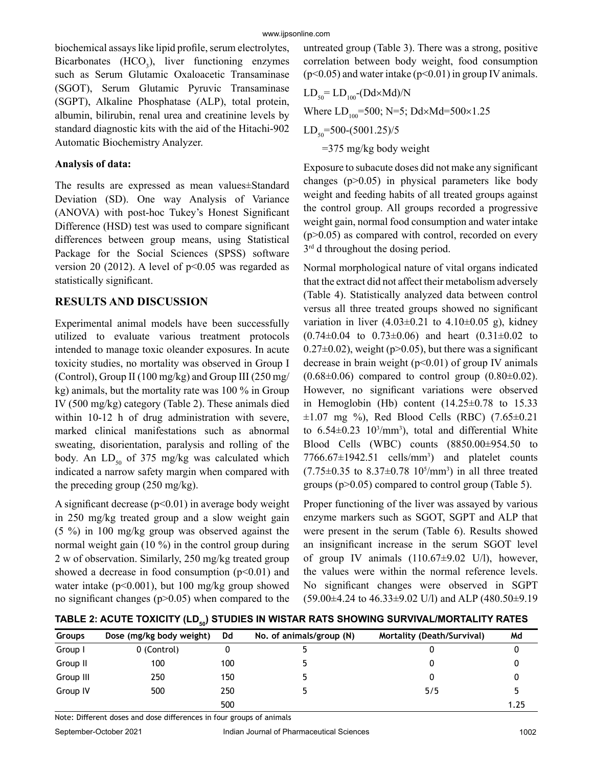biochemical assays like lipid profile, serum electrolytes, Bicarbonates  $(HCO<sub>3</sub>)$ , liver functioning enzymes such as Serum Glutamic Oxaloacetic Transaminase (SGOT), Serum Glutamic Pyruvic Transaminase (SGPT), Alkaline Phosphatase (ALP), total protein, albumin, bilirubin, renal urea and creatinine levels by standard diagnostic kits with the aid of the Hitachi-902 Automatic Biochemistry Analyzer.

# **Analysis of data:**

The results are expressed as mean values±Standard Deviation (SD). One way Analysis of Variance (ANOVA) with post-hoc Tukey's Honest Significant Difference (HSD) test was used to compare significant differences between group means, using Statistical Package for the Social Sciences (SPSS) software version 20 (2012). A level of  $p<0.05$  was regarded as statistically significant.

# **RESULTS AND DISCUSSION**

Experimental animal models have been successfully utilized to evaluate various treatment protocols intended to manage toxic oleander exposures. In acute toxicity studies, no mortality was observed in Group I (Control), Group II (100 mg/kg) and Group III (250 mg/ kg) animals, but the mortality rate was 100 % in Group IV (500 mg/kg) category (Table 2). These animals died within 10-12 h of drug administration with severe, marked clinical manifestations such as abnormal sweating, disorientation, paralysis and rolling of the body. An  $LD_{50}$  of 375 mg/kg was calculated which indicated a narrow safety margin when compared with the preceding group (250 mg/kg).

A significant decrease  $(p<0.01)$  in average body weight in 250 mg/kg treated group and a slow weight gain (5 %) in 100 mg/kg group was observed against the normal weight gain (10 %) in the control group during 2 w of observation. Similarly, 250 mg/kg treated group showed a decrease in food consumption  $(p<0.01)$  and water intake ( $p<0.001$ ), but 100 mg/kg group showed no significant changes (p>0.05) when compared to the

untreated group (Table 3). There was a strong, positive correlation between body weight, food consumption  $(p<0.05)$  and water intake  $(p<0.01)$  in group IV animals.

LD50= LD100-(Dd×Md)/N Where LD100=500; N=5; Dd×Md=500×1.25 LD50=500-(5001.25)/5 =375 mg/kg body weight

Exposure to subacute doses did not make any significant changes (p>0.05) in physical parameters like body weight and feeding habits of all treated groups against the control group. All groups recorded a progressive weight gain, normal food consumption and water intake  $(p>0.05)$  as compared with control, recorded on every  $3<sup>rd</sup>$  d throughout the dosing period.

Normal morphological nature of vital organs indicated that the extract did not affect their metabolism adversely (Table 4). Statistically analyzed data between control versus all three treated groups showed no significant variation in liver  $(4.03 \pm 0.21)$  to  $4.10 \pm 0.05$  g), kidney  $(0.74\pm0.04$  to  $0.73\pm0.06)$  and heart  $(0.31\pm0.02$  to  $0.27\pm0.02$ , weight (p $>0.05$ ), but there was a significant decrease in brain weight  $(p<0.01)$  of group IV animals  $(0.68\pm0.06)$  compared to control group  $(0.80\pm0.02)$ . However, no significant variations were observed in Hemoglobin (Hb) content  $(14.25\pm0.78$  to 15.33  $\pm 1.07$  mg %), Red Blood Cells (RBC) (7.65 $\pm 0.21$ to  $6.54 \pm 0.23$   $10^{3}/mm^{3}$ , total and differential White Blood Cells (WBC) counts (8850.00±954.50 to  $7766.67 \pm 1942.51$  cells/mm<sup>3</sup>) and platelet counts  $(7.75 \pm 0.35$  to  $8.37 \pm 0.78$  10<sup>5</sup>/mm<sup>3</sup>) in all three treated groups (p>0.05) compared to control group (Table 5).

Proper functioning of the liver was assayed by various enzyme markers such as SGOT, SGPT and ALP that were present in the serum (Table 6). Results showed an insignificant increase in the serum SGOT level of group IV animals (110.67±9.02 U/l), however, the values were within the normal reference levels. No significant changes were observed in SGPT (59.00±4.24 to 46.33±9.02 U/l) and ALP (480.50±9.19

TABLE 2: ACUTE TOXICITY (LD<sub>50</sub>) STUDIES IN WISTAR RATS SHOWING SURVIVAL/MORTALITY RATES

| <b>Groups</b> | Dose (mg/kg body weight) | Dd  | No. of animals/group (N) | Mortality (Death/Survival) | Md   |
|---------------|--------------------------|-----|--------------------------|----------------------------|------|
| Group I       | 0 (Control)              |     |                          |                            |      |
| Group II      | 100                      | 100 |                          |                            |      |
| Group III     | 250                      | 150 | b.                       |                            |      |
| Group IV      | 500                      | 250 |                          | 5/5                        |      |
|               |                          | 500 |                          |                            | 1.25 |

Note: Different doses and dose differences in four groups of animals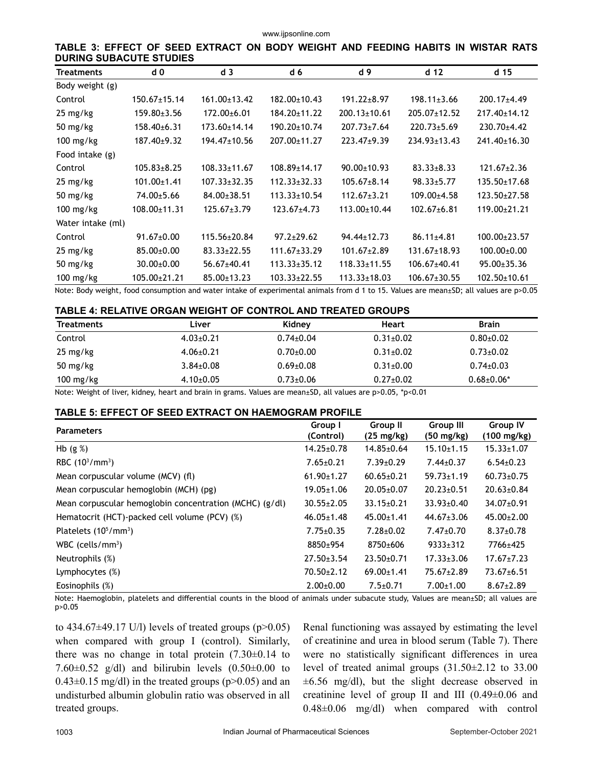www.ijpsonline.com

**TABLE 3: EFFECT OF SEED EXTRACT ON BODY WEIGHT AND FEEDING HABITS IN WISTAR RATS DURING SUBACUTE STUDIES**

| <b>Treatments</b>  | d 0                | d <sub>3</sub>     | d <sub>6</sub>     | d 9                | d <sub>12</sub>    | d 15               |
|--------------------|--------------------|--------------------|--------------------|--------------------|--------------------|--------------------|
| Body weight (g)    |                    |                    |                    |                    |                    |                    |
| Control            | $150.67 \pm 15.14$ | $161.00 \pm 13.42$ | 182.00±10.43       | $191.22 \pm 8.97$  | $198.11 \pm 3.66$  | $200.17 + 4.49$    |
| 25 mg/kg           | $159.80 \pm 3.56$  | 172.00±6.01        | 184.20±11.22       | $200.13 \pm 10.61$ | 205.07±12.52       | 217.40±14.12       |
| 50 mg/kg           | $158.40\pm 6.31$   | $173.60 \pm 14.14$ | 190.20±10.74       | $207.73 \pm 7.64$  | $220.73 \pm 5.69$  | $230.70 + 4.42$    |
| 100 mg/kg          | $187.40{\pm}9.32$  | 194.47±10.56       | 207.00±11.27       | 223.47±9.39        | $234.93 \pm 13.43$ | 241.40±16.30       |
| Food intake (g)    |                    |                    |                    |                    |                    |                    |
| Control            | $105.83 \pm 8.25$  | $108.33 \pm 11.67$ | $108.89 \pm 14.17$ | $90.00 \pm 10.93$  | $83.33 \pm 8.33$   | $121.67 \pm 2.36$  |
| $25 \text{ mg/kg}$ | $101.00 \pm 1.41$  | $107.33 \pm 32.35$ | $112.33 \pm 32.33$ | $105.67 \pm 8.14$  | $98.33 \pm 5.77$   | $135.50 \pm 17.68$ |
| 50 mg/ $kg$        | 74.00±5.66         | $84.00 \pm 38.51$  | $113.33 \pm 10.54$ | $112.67 \pm 3.21$  | 109.00±4.58        | $123.50 \pm 27.58$ |
| $100$ mg/kg        | $108.00 \pm 11.31$ | $125.67 \pm 3.79$  | $123.67 + 4.73$    | $113.00 \pm 10.44$ | $102.67 + 6.81$    | $119.00+21.21$     |
| Water intake (ml)  |                    |                    |                    |                    |                    |                    |
| Control            | $91.67 \pm 0.00$   | 115.56±20.84       | $97.2 + 29.62$     | $94.44 \pm 12.73$  | $86.11 \pm 4.81$   | $100.00 \pm 23.57$ |
| 25 mg/kg           | 85.00±0.00         | $83.33 \pm 22.55$  | $111.67 \pm 33.29$ | $101.67 \pm 2.89$  | $131.67 \pm 18.93$ | $100.00+0.00$      |
| 50 mg/ $kg$        | $30.00 \pm 0.00$   | 56.67±40.41        | $113.33 \pm 35.12$ | $118.33 \pm 11.55$ | 106.67±40.41       | $95.00 \pm 35.36$  |
| $100$ mg/kg        | 105.00±21.21       | $85.00 \pm 13.23$  | $103.33 \pm 22.55$ | $113.33 \pm 18.03$ | $106.67 \pm 30.55$ | $102.50 \pm 10.61$ |

Note: Body weight, food consumption and water intake of experimental animals from d 1 to 15. Values are mean±SD; all values are p>0.05

#### **TABLE 4: RELATIVE ORGAN WEIGHT OF CONTROL AND TREATED GROUPS**

| <b>Treatments</b>   | Liver           | Kidney          | Heart           | <b>Brain</b>    |
|---------------------|-----------------|-----------------|-----------------|-----------------|
| Control             | $4.03 \pm 0.21$ | $0.74 \pm 0.04$ | $0.31 \pm 0.02$ | $0.80 + 0.02$   |
| $25 \text{ mg/kg}$  | $4.06 \pm 0.21$ | $0.70 \pm 0.00$ | $0.31 \pm 0.02$ | $0.73 \pm 0.02$ |
| 50 mg/kg            | $3.84 \pm 0.08$ | $0.69 \pm 0.08$ | $0.31 \pm 0.00$ | $0.74 \pm 0.03$ |
| $100 \text{ mg/kg}$ | $4.10\pm0.05$   | $0.73 \pm 0.06$ | $0.27 \pm 0.02$ | $0.68 + 0.06*$  |

Note: Weight of liver, kidney, heart and brain in grams. Values are mean±SD, all values are p>0.05, \*p<0.01

#### **TABLE 5: EFFECT OF SEED EXTRACT ON HAEMOGRAM PROFILE**

| <b>Parameters</b>                                       | Group I<br>(Control) | <b>Group II</b><br>$(25 \text{ mg/kg})$ | Group III<br>(50 mg/kg) | <b>Group IV</b><br>(100 mg/kg) |
|---------------------------------------------------------|----------------------|-----------------------------------------|-------------------------|--------------------------------|
| Hb $(g %)$                                              | $14.25 \pm 0.78$     | $14.85 \pm 0.64$                        | $15.10 \pm 1.15$        | $15.33 \pm 1.07$               |
| RBC $(10^3/mm^3)$                                       | $7.65 \pm 0.21$      | $7.39 \pm 0.29$                         | $7.44 \pm 0.37$         | $6.54 \pm 0.23$                |
| Mean corpuscular volume (MCV) (fl)                      | $61.90 \pm 1.27$     | $60.65 \pm 0.21$                        | $59.73 \pm 1.19$        | $60.73 \pm 0.75$               |
| Mean corpuscular hemoglobin (MCH) (pg)                  | $19.05 \pm 1.06$     | $20.05 \pm 0.07$                        | $20.23 \pm 0.51$        | $20.63 \pm 0.84$               |
| Mean corpuscular hemoglobin concentration (MCHC) (g/dl) | $30.55 \pm 2.05$     | $33.15 \pm 0.21$                        | $33.93 \pm 0.40$        | $34.07 \pm 0.91$               |
| Hematocrit (HCT)-packed cell volume (PCV) (%)           | $46.05 \pm 1.48$     | $45.00 \pm 1.41$                        | $44.67 \pm 3.06$        | $45.00 \pm 2.00$               |
| Platelets $(10^5/\text{mm}^3)$                          | $7.75 \pm 0.35$      | $7.28 + 0.02$                           | $7.47 \pm 0.70$         | $8.37 \pm 0.78$                |
| WBC (cells/ $mm3$ )                                     | 8850±954             | 8750±606                                | $9333 \pm 312$          | 7766±425                       |
| Neutrophils (%)                                         | $27.50 \pm 3.54$     | $23.50+0.71$                            | $17.33 \pm 3.06$        | $17.67 \pm 7.23$               |
| Lymphocytes $(\%)$                                      | $70.50 \pm 2.12$     | $69.00 \pm 1.41$                        | $75.67 \pm 2.89$        | $73.67 \pm 6.51$               |
| Eosinophils (%)                                         | $2.00+0.00$          | $7.5 \pm 0.71$                          | $7.00 \pm 1.00$         | $8.67 \pm 2.89$                |

Note: Haemoglobin, platelets and differential counts in the blood of animals under subacute study, Values are mean±SD; all values are p>0.05

to  $434.67\pm49.17$  U/l) levels of treated groups (p $>0.05$ ) when compared with group I (control). Similarly, there was no change in total protein  $(7.30\pm0.14)$  to 7.60 $\pm$ 0.52 g/dl) and bilirubin levels (0.50 $\pm$ 0.00 to  $0.43\pm0.15$  mg/dl) in the treated groups (p>0.05) and an undisturbed albumin globulin ratio was observed in all treated groups.

Renal functioning was assayed by estimating the level of creatinine and urea in blood serum (Table 7). There were no statistically significant differences in urea level of treated animal groups (31.50±2.12 to 33.00  $\pm 6.56$  mg/dl), but the slight decrease observed in creatinine level of group II and III (0.49±0.06 and 0.48±0.06 mg/dl) when compared with control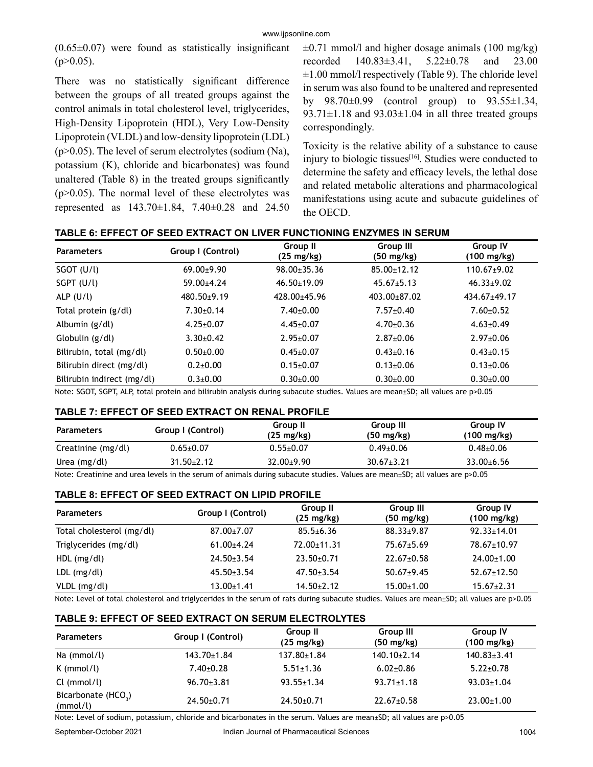$(0.65\pm0.07)$  were found as statistically insignificant  $(p>0.05)$ .

There was no statistically significant difference between the groups of all treated groups against the control animals in total cholesterol level, triglycerides, High-Density Lipoprotein (HDL), Very Low-Density Lipoprotein (VLDL) and low-density lipoprotein (LDL)  $(p>0.05)$ . The level of serum electrolytes (sodium (Na), potassium (K), chloride and bicarbonates) was found unaltered (Table 8) in the treated groups significantly  $(p>0.05)$ . The normal level of these electrolytes was represented as 143.70±1.84, 7.40±0.28 and 24.50  $\pm 0.71$  mmol/l and higher dosage animals (100 mg/kg) recorded 140.83±3.41, 5.22±0.78 and 23.00  $\pm 1.00$  mmol/l respectively (Table 9). The chloride level in serum was also found to be unaltered and represented by 98.70±0.99 (control group) to 93.55±1.34, 93.71 $\pm$ 1.18 and 93.03 $\pm$ 1.04 in all three treated groups correspondingly.

Toxicity is the relative ability of a substance to cause injury to biologic tissues $[16]$ . Studies were conducted to determine the safety and efficacy levels, the lethal dose and related metabolic alterations and pharmacological manifestations using acute and subacute guidelines of the OECD.

| <b>Parameters</b>          | Group I (Control) | Group II<br>(25 mg/kg) | Group III<br>$(50 \text{ mg/kg})$ | <b>Group IV</b><br>(100 mg/kg) |
|----------------------------|-------------------|------------------------|-----------------------------------|--------------------------------|
| $SGOT$ (U/l)               | $69.00+9.90$      | $98.00 \pm 35.36$      | $85.00 \pm 12.12$                 | $110.67+9.02$                  |
| SGPT (U/l)                 | 59.00±4.24        | $46.50 \pm 19.09$      | $45.67 \pm 5.13$                  | $46.33 \pm 9.02$               |
| ALP $(U/l)$                | $480.50+9.19$     | $428.00+45.96$         | $403.00 + 87.02$                  | $434.67 + 49.17$               |
| Total protein (g/dl)       | $7.30+0.14$       | $7.40 \pm 0.00$        | $7.57 \pm 0.40$                   | $7.60 \pm 0.52$                |
| Albumin (g/dl)             | $4.25 \pm 0.07$   | $4.45 \pm 0.07$        | $4.70+0.36$                       | $4.63 \pm 0.49$                |
| Globulin (g/dl)            | $3.30\pm0.42$     | $2.95 \pm 0.07$        | $2.87+0.06$                       | $2.97 \pm 0.06$                |
| Bilirubin, total (mg/dl)   | $0.50+0.00$       | $0.45 \pm 0.07$        | $0.43 \pm 0.16$                   | $0.43 \pm 0.15$                |
| Bilirubin direct (mg/dl)   | $0.2 + 0.00$      | $0.15 \pm 0.07$        | $0.13 \pm 0.06$                   | $0.13 \pm 0.06$                |
| Bilirubin indirect (mg/dl) | $0.3 \pm 0.00$    | $0.30{\pm}0.00$        | $0.30{\pm}0.00$                   | $0.30{\pm}0.00$                |

**TABLE 6: EFFECT OF SEED EXTRACT ON LIVER FUNCTIONING ENZYMES IN SERUM**

Note: SGOT, SGPT, ALP, total protein and bilirubin analysis during subacute studies. Values are mean±SD; all values are p>0.05

#### **TABLE 7: EFFECT OF SEED EXTRACT ON RENAL PROFILE**

| <b>Parameters</b>  | Group I (Control) | Group II<br>$(25 \text{ mg/kg})$ | Group III<br>$(50 \text{ mg/kg})$ | Group IV<br>(100 mg/kg) |
|--------------------|-------------------|----------------------------------|-----------------------------------|-------------------------|
| Creatinine (mg/dl) | $0.65 \pm 0.07$   | $0.55 \pm 0.07$                  | $0.49 \pm 0.06$                   | $0.48 + 0.06$           |
| Urea (mg/dl)       | $31.50 \pm 2.12$  | $32.00+9.90$                     | $30.67 \pm 3.21$                  | $33.00 + 6.56$          |

Note: Creatinine and urea levels in the serum of animals during subacute studies. Values are mean±SD; all values are p>0.05

#### **TABLE 8: EFFECT OF SEED EXTRACT ON LIPID PROFILE**

| <b>Parameters</b>         | Group I (Control) | Group II<br>$(25 \text{ mg/kg})$ | Group III<br>$(50 \text{ mg/kg})$ | <b>Group IV</b><br>$(100 \text{ mg/kg})$ |
|---------------------------|-------------------|----------------------------------|-----------------------------------|------------------------------------------|
| Total cholesterol (mg/dl) | 87.00±7.07        | $85.5 + 6.36$                    | $88.33 \pm 9.87$                  | $92.33 \pm 14.01$                        |
| Triglycerides (mg/dl)     | $61.00+4.24$      | 72.00±11.31                      | $75.67 \pm 5.69$                  | 78.67±10.97                              |
| $HDL$ (mg/dl)             | $24.50 \pm 3.54$  | $23.50+0.71$                     | $22.67 \pm 0.58$                  | $24.00 \pm 1.00$                         |
| $LDL$ (mg/dl)             | $45.50 \pm 3.54$  | $47.50 \pm 3.54$                 | $50.67+9.45$                      | $52.67 \pm 12.50$                        |
| VLDL (mg/dl)              | $13.00 \pm 1.41$  | $14.50 \pm 2.12$                 | $15.00 \pm 1.00$                  | $15.67 \pm 2.31$                         |

Note: Level of total cholesterol and triglycerides in the serum of rats during subacute studies. Values are mean±SD; all values are p>0.05

#### **TABLE 9: EFFECT OF SEED EXTRACT ON SERUM ELECTROLYTES**

| <b>Parameters</b>                           | Group I (Control) | <b>Group II</b><br>$(25 \text{ mg/kg})$ | Group III<br>$(50 \text{ mg/kg})$ | <b>Group IV</b><br>$(100 \text{ mg/kg})$ |
|---------------------------------------------|-------------------|-----------------------------------------|-----------------------------------|------------------------------------------|
| Na (mmol/l)                                 | $143.70 \pm 1.84$ | $137.80 \pm 1.84$                       | $140.10 \pm 2.14$                 | $140.83 \pm 3.41$                        |
| $K$ (mmol/l)                                | $7.40 \pm 0.28$   | $5.51 \pm 1.36$                         | $6.02{\pm}0.86$                   | $5.22 \pm 0.78$                          |
| Cl (mmol/l)                                 | $96.70 \pm 3.81$  | $93.55 \pm 1.34$                        | $93.71 \pm 1.18$                  | $93.03 \pm 1.04$                         |
| Bicarbonate (HCO <sub>3</sub> )<br>(mmol/l) | $24.50+0.71$      | $24.50+0.71$                            | $22.67 \pm 0.58$                  | $23.00 \pm 1.00$                         |

Note: Level of sodium, potassium, chloride and bicarbonates in the serum. Values are mean±SD; all values are p>0.05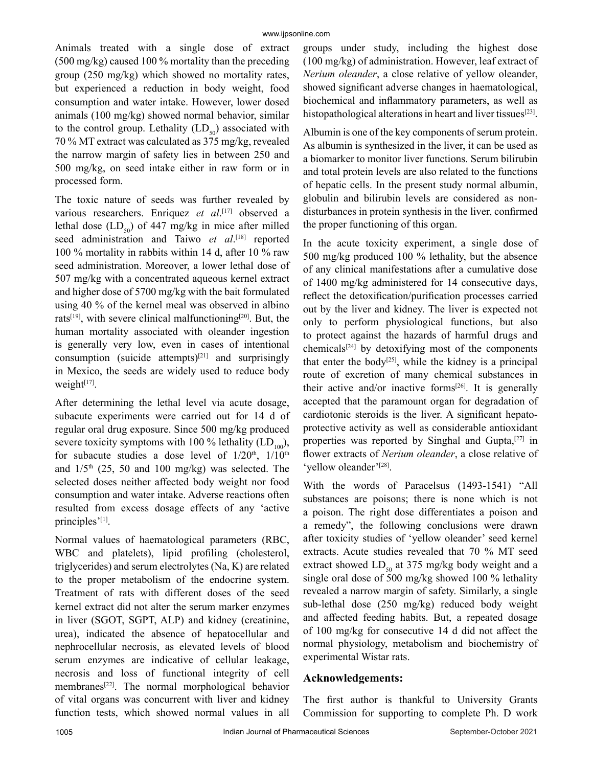Animals treated with a single dose of extract (500 mg/kg) caused 100 % mortality than the preceding group (250 mg/kg) which showed no mortality rates, but experienced a reduction in body weight, food consumption and water intake. However, lower dosed animals (100 mg/kg) showed normal behavior, similar to the control group. Lethality  $(LD_{50})$  associated with 70 % MT extract was calculated as 375 mg/kg, revealed the narrow margin of safety lies in between 250 and 500 mg/kg, on seed intake either in raw form or in processed form.

The toxic nature of seeds was further revealed by various researchers. Enriquez *et al*. [17] observed a lethal dose  $(LD_{50})$  of 447 mg/kg in mice after milled seed administration and Taiwo *et al*. [18] reported 100 % mortality in rabbits within 14 d, after 10 % raw seed administration. Moreover, a lower lethal dose of 507 mg/kg with a concentrated aqueous kernel extract and higher dose of 5700 mg/kg with the bait formulated using 40 % of the kernel meal was observed in albino rats<sup>[19]</sup>, with severe clinical malfunctioning<sup>[20]</sup>. But, the human mortality associated with oleander ingestion is generally very low, even in cases of intentional consumption (suicide attempts)<sup>[21]</sup> and surprisingly in Mexico, the seeds are widely used to reduce body weight $[17]$ .

After determining the lethal level via acute dosage, subacute experiments were carried out for 14 d of regular oral drug exposure. Since 500 mg/kg produced severe toxicity symptoms with 100 % lethality  $(LD_{100})$ , for subacute studies a dose level of  $1/20<sup>th</sup>$ ,  $1/10<sup>th</sup>$ and  $1/5$ <sup>th</sup> (25, 50 and 100 mg/kg) was selected. The selected doses neither affected body weight nor food consumption and water intake. Adverse reactions often resulted from excess dosage effects of any 'active principles'[1].

Normal values of haematological parameters (RBC, WBC and platelets), lipid profiling (cholesterol, triglycerides) and serum electrolytes (Na, K) are related to the proper metabolism of the endocrine system. Treatment of rats with different doses of the seed kernel extract did not alter the serum marker enzymes in liver (SGOT, SGPT, ALP) and kidney (creatinine, urea), indicated the absence of hepatocellular and nephrocellular necrosis, as elevated levels of blood serum enzymes are indicative of cellular leakage, necrosis and loss of functional integrity of cell membranes[22]. The normal morphological behavior of vital organs was concurrent with liver and kidney function tests, which showed normal values in all

groups under study, including the highest dose (100 mg/kg) of administration. However, leaf extract of *Nerium oleander*, a close relative of yellow oleander, showed significant adverse changes in haematological, biochemical and inflammatory parameters, as well as histopathological alterations in heart and liver tissues $[23]$ .

Albumin is one of the key components of serum protein. As albumin is synthesized in the liver, it can be used as a biomarker to monitor liver functions. Serum bilirubin and total protein levels are also related to the functions of hepatic cells. In the present study normal albumin, globulin and bilirubin levels are considered as nondisturbances in protein synthesis in the liver, confirmed the proper functioning of this organ.

In the acute toxicity experiment, a single dose of 500 mg/kg produced 100 % lethality, but the absence of any clinical manifestations after a cumulative dose of 1400 mg/kg administered for 14 consecutive days, reflect the detoxification/purification processes carried out by the liver and kidney. The liver is expected not only to perform physiological functions, but also to protect against the hazards of harmful drugs and chemicals $[24]$  by detoxifying most of the components that enter the body<sup>[25]</sup>, while the kidney is a principal route of excretion of many chemical substances in their active and/or inactive forms $[26]$ . It is generally accepted that the paramount organ for degradation of cardiotonic steroids is the liver. A significant hepatoprotective activity as well as considerable antioxidant properties was reported by Singhal and Gupta,[27] in flower extracts of *Nerium oleander*, a close relative of 'yellow oleander'<sup>[28]</sup>.

With the words of Paracelsus (1493-1541) "All substances are poisons; there is none which is not a poison. The right dose differentiates a poison and a remedy", the following conclusions were drawn after toxicity studies of 'yellow oleander' seed kernel extracts. Acute studies revealed that 70 % MT seed extract showed  $LD_{50}$  at 375 mg/kg body weight and a single oral dose of 500 mg/kg showed 100 % lethality revealed a narrow margin of safety. Similarly, a single sub-lethal dose (250 mg/kg) reduced body weight and affected feeding habits. But, a repeated dosage of 100 mg/kg for consecutive 14 d did not affect the normal physiology, metabolism and biochemistry of experimental Wistar rats.

# **Acknowledgements:**

The first author is thankful to University Grants Commission for supporting to complete Ph. D work